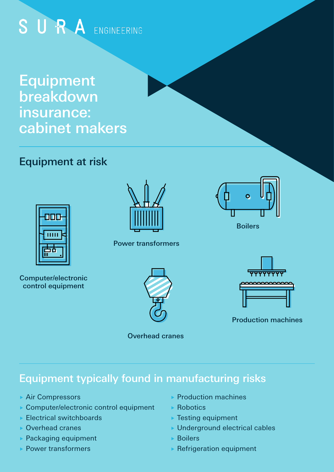# SURA ENGINEERING

Equipment breakdown insurance: cabinet makers

# Equipment at risk



Computer/electronic control equipment



#### Power transformers



Overhead cranes



Boilers



Production machines

## Equipment typically found in manufacturing risks

- ▶ Air Compressors
- ▶ Computer/electronic control equipment
- ▶ Electrical switchboards
- Overhead cranes
- ▶ Packaging equipment
- ▶ Power transformers
- **Production machines**
- ▶ Robotics
- ▶ Testing equipment
- ▶ Underground electrical cables
- Boilers
- $\blacktriangleright$  Refrigeration equipment